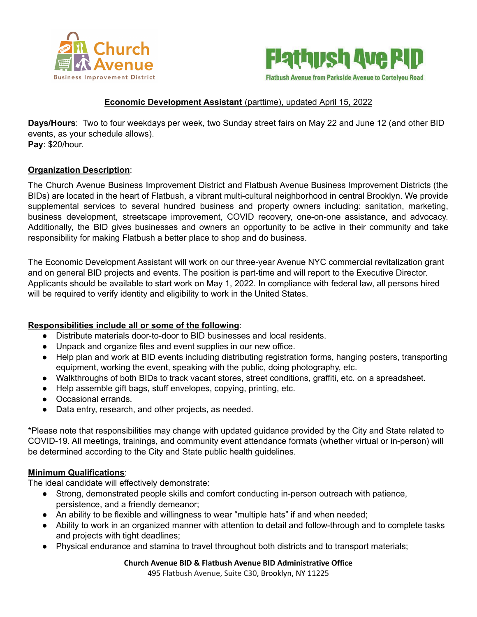



# **Economic Development Assistant** (parttime), updated April 15, 2022

**Days/Hours**: Two to four weekdays per week, two Sunday street fairs on May 22 and June 12 (and other BID events, as your schedule allows). **Pay**: \$20/hour.

### **Organization Description**:

The Church Avenue Business Improvement District and Flatbush Avenue Business Improvement Districts (the BIDs) are located in the heart of Flatbush, a vibrant multi-cultural neighborhood in central Brooklyn. We provide supplemental services to several hundred business and property owners including: sanitation, marketing, business development, streetscape improvement, COVID recovery, one-on-one assistance, and advocacy. Additionally, the BID gives businesses and owners an opportunity to be active in their community and take responsibility for making Flatbush a better place to shop and do business.

The Economic Development Assistant will work on our three-year Avenue NYC commercial revitalization grant and on general BID projects and events. The position is part-time and will report to the Executive Director. Applicants should be available to start work on May 1, 2022. In compliance with federal law, all persons hired will be required to verify identity and eligibility to work in the United States.

## **Responsibilities include all or some of the following**:

- Distribute materials door-to-door to BID businesses and local residents.
- Unpack and organize files and event supplies in our new office.
- Help plan and work at BID events including distributing registration forms, hanging posters, transporting equipment, working the event, speaking with the public, doing photography, etc.
- Walkthroughs of both BIDs to track vacant stores, street conditions, graffiti, etc. on a spreadsheet.
- Help assemble gift bags, stuff envelopes, copying, printing, etc.
- Occasional errands.
- Data entry, research, and other projects, as needed.

\*Please note that responsibilities may change with updated guidance provided by the City and State related to COVID-19. All meetings, trainings, and community event attendance formats (whether virtual or in-person) will be determined according to the City and State public health guidelines.

## **Minimum Qualifications**:

The ideal candidate will effectively demonstrate:

- Strong, demonstrated people skills and comfort conducting in-person outreach with patience, persistence, and a friendly demeanor;
- An ability to be flexible and willingness to wear "multiple hats" if and when needed;
- Ability to work in an organized manner with attention to detail and follow-through and to complete tasks and projects with tight deadlines;
- Physical endurance and stamina to travel throughout both districts and to transport materials;

#### **Church Avenue BID & Flatbush Avenue BID Administrative Office**

495 Flatbush Avenue, Suite C30, Brooklyn, NY 11225